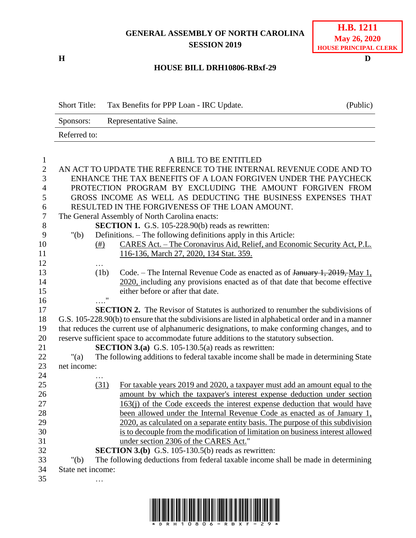## **GENERAL ASSEMBLY OF NORTH CAROLINA SESSION 2019**

**H D**

| <b>H.B.</b> 1211             |
|------------------------------|
| <b>May 26, 2020</b>          |
| <b>HOUSE PRINCIPAL CLERK</b> |

## **HOUSE BILL DRH10806-RBxf-29**

Short Title: Tax Benefits for PPP Loan - IRC Update. (Public) Sponsors: Representative Saine. Referred to:

| $\mathbf{1}$     | A BILL TO BE ENTITLED                                              |      |                                                                                                     |  |
|------------------|--------------------------------------------------------------------|------|-----------------------------------------------------------------------------------------------------|--|
| $\overline{2}$   | AN ACT TO UPDATE THE REFERENCE TO THE INTERNAL REVENUE CODE AND TO |      |                                                                                                     |  |
| 3                | ENHANCE THE TAX BENEFITS OF A LOAN FORGIVEN UNDER THE PAYCHECK     |      |                                                                                                     |  |
| $\overline{4}$   | PROTECTION PROGRAM BY EXCLUDING THE AMOUNT FORGIVEN FROM           |      |                                                                                                     |  |
| 5                |                                                                    |      | GROSS INCOME AS WELL AS DEDUCTING THE BUSINESS EXPENSES THAT                                        |  |
| 6                | RESULTED IN THE FORGIVENESS OF THE LOAN AMOUNT.                    |      |                                                                                                     |  |
| $\boldsymbol{7}$ |                                                                    |      | The General Assembly of North Carolina enacts:                                                      |  |
| 8                | <b>SECTION 1.</b> G.S. 105-228.90(b) reads as rewritten:           |      |                                                                                                     |  |
| 9                | " $(b)$                                                            |      | Definitions. – The following definitions apply in this Article:                                     |  |
| 10               |                                                                    | (# ) | CARES Act. – The Coronavirus Aid, Relief, and Economic Security Act, P.L.                           |  |
| 11               |                                                                    |      | 116-136, March 27, 2020, 134 Stat. 359.                                                             |  |
| 12               |                                                                    | .    |                                                                                                     |  |
| 13               |                                                                    | (1b) | Code. – The Internal Revenue Code as enacted as of January 1, 2019, May 1,                          |  |
| 14               |                                                                    |      | 2020, including any provisions enacted as of that date that become effective                        |  |
| 15               |                                                                    |      | either before or after that date.                                                                   |  |
| 16               |                                                                    |      |                                                                                                     |  |
| 17               |                                                                    |      | <b>SECTION 2.</b> The Revisor of Statutes is authorized to renumber the subdivisions of             |  |
| 18               |                                                                    |      | G.S. 105-228.90(b) to ensure that the subdivisions are listed in alphabetical order and in a manner |  |
| 19               |                                                                    |      | that reduces the current use of alphanumeric designations, to make conforming changes, and to       |  |
| 20               |                                                                    |      | reserve sufficient space to accommodate future additions to the statutory subsection.               |  |
| 21               |                                                                    |      | <b>SECTION 3.(a)</b> G.S. 105-130.5(a) reads as rewritten:                                          |  |
| 22               | " $(a)$                                                            |      | The following additions to federal taxable income shall be made in determining State                |  |
| 23               | net income:                                                        |      |                                                                                                     |  |
| 24               |                                                                    |      |                                                                                                     |  |
| 25               |                                                                    | (31) | For taxable years 2019 and 2020, a taxpayer must add an amount equal to the                         |  |
| 26               |                                                                    |      | amount by which the taxpayer's interest expense deduction under section                             |  |
| 27               |                                                                    |      | 163(j) of the Code exceeds the interest expense deduction that would have                           |  |
| 28               |                                                                    |      | been allowed under the Internal Revenue Code as enacted as of January 1,                            |  |
| 29               |                                                                    |      | 2020, as calculated on a separate entity basis. The purpose of this subdivision                     |  |
| 30               |                                                                    |      | is to decouple from the modification of limitation on business interest allowed                     |  |
| 31               |                                                                    |      | under section 2306 of the CARES Act."                                                               |  |
| 32               |                                                                    |      | <b>SECTION 3.(b)</b> G.S. 105-130.5(b) reads as rewritten:                                          |  |
| 33               | " $(b)$                                                            |      | The following deductions from federal taxable income shall be made in determining                   |  |
| 34               | State net income:                                                  |      |                                                                                                     |  |
| 35               |                                                                    | .    |                                                                                                     |  |

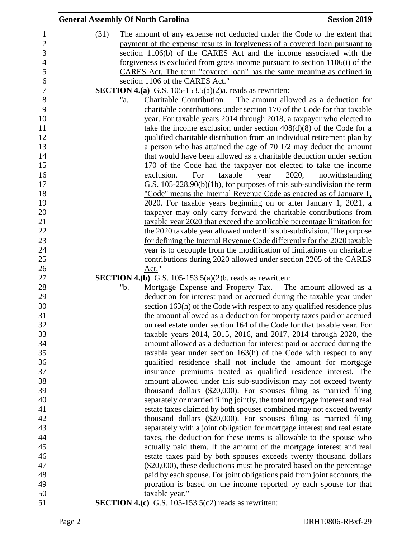|      | <b>General Assembly Of North Carolina</b><br><b>Session 2019</b>             |
|------|------------------------------------------------------------------------------|
| (31) | The amount of any expense not deducted under the Code to the extent that     |
|      | payment of the expense results in forgiveness of a covered loan pursuant to  |
|      | section 1106(b) of the CARES Act and the income associated with the          |
|      | forgiveness is excluded from gross income pursuant to section 1106(i) of the |
|      | CARES Act. The term "covered loan" has the same meaning as defined in        |
|      | section 1106 of the CARES Act."                                              |
|      | <b>SECTION 4.(a)</b> G.S. 105-153.5(a)(2)a. reads as rewritten:              |
|      | Charitable Contribution. – The amount allowed as a deduction for<br>"a.      |
|      | charitable contributions under section 170 of the Code for that taxable      |
|      | year. For taxable years 2014 through 2018, a taxpayer who elected to         |
|      | take the income exclusion under section $408(d)(8)$ of the Code for a        |
|      | qualified charitable distribution from an individual retirement plan by      |
|      | a person who has attained the age of $70 \frac{1}{2}$ may deduct the amount  |
|      | that would have been allowed as a charitable deduction under section         |
|      | 170 of the Code had the taxpayer not elected to take the income              |
|      | exclusion. For taxable year<br>2020, notwithstanding                         |
|      | $G.S.$ 105-228.90(b)(1b), for purposes of this sub-subdivision the term      |
|      | "Code" means the Internal Revenue Code as enacted as of January 1,           |
|      | 2020. For taxable years beginning on or after January 1, 2021, a             |
|      | taxpayer may only carry forward the charitable contributions from            |
|      | taxable year 2020 that exceed the applicable percentage limitation for       |
|      | the 2020 taxable year allowed under this sub-subdivision. The purpose        |
|      | for defining the Internal Revenue Code differently for the 2020 taxable      |
|      | year is to decouple from the modification of limitations on charitable       |
|      | contributions during 2020 allowed under section 2205 of the CARES            |
|      | Act."                                                                        |
|      | <b>SECTION 4.(b)</b> G.S. 105-153.5(a)(2)b. reads as rewritten:              |
|      | Mortgage Expense and Property Tax. - The amount allowed as a<br>"b.          |
|      | deduction for interest paid or accrued during the taxable year under         |
|      | section 163(h) of the Code with respect to any qualified residence plus      |
|      | the amount allowed as a deduction for property taxes paid or accrued         |
|      | on real estate under section 164 of the Code for that taxable year. For      |
|      | taxable years 2014, 2015, 2016, and 2017, 2014 through 2020, the             |
|      | amount allowed as a deduction for interest paid or accrued during the        |
|      | taxable year under section 163(h) of the Code with respect to any            |
|      | qualified residence shall not include the amount for mortgage                |
|      | insurance premiums treated as qualified residence interest. The              |
|      | amount allowed under this sub-subdivision may not exceed twenty              |
|      | thousand dollars (\$20,000). For spouses filing as married filing            |
|      | separately or married filing jointly, the total mortgage interest and real   |
|      | estate taxes claimed by both spouses combined may not exceed twenty          |
|      | thousand dollars (\$20,000). For spouses filing as married filing            |
|      | separately with a joint obligation for mortgage interest and real estate     |
|      | taxes, the deduction for these items is allowable to the spouse who          |
|      | actually paid them. If the amount of the mortgage interest and real          |
|      | estate taxes paid by both spouses exceeds twenty thousand dollars            |
|      | $(\$20,000)$ , these deductions must be prorated based on the percentage     |
|      | paid by each spouse. For joint obligations paid from joint accounts, the     |
|      | proration is based on the income reported by each spouse for that            |
|      | taxable year."                                                               |
|      | <b>SECTION 4.(c)</b> G.S. 105-153.5(c2) reads as rewritten:                  |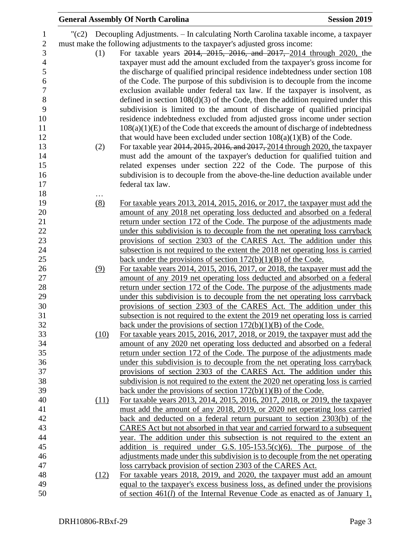|          | <b>General Assembly Of North Carolina</b>                                                                                                                     | <b>Session 2019</b> |
|----------|---------------------------------------------------------------------------------------------------------------------------------------------------------------|---------------------|
|          | $\degree$ (c2) Decoupling Adjustments. – In calculating North Carolina taxable income, a taxpayer                                                             |                     |
|          | must make the following adjustments to the taxpayer's adjusted gross income:                                                                                  |                     |
| (1)      | For taxable years 2014, 2015, 2016, and 2017, 2014 through 2020, the                                                                                          |                     |
|          | taxpayer must add the amount excluded from the taxpayer's gross income for                                                                                    |                     |
|          | the discharge of qualified principal residence indebtedness under section 108                                                                                 |                     |
|          | of the Code. The purpose of this subdivision is to decouple from the income                                                                                   |                     |
|          | exclusion available under federal tax law. If the taxpayer is insolvent, as                                                                                   |                     |
|          |                                                                                                                                                               |                     |
|          | defined in section $108(d)(3)$ of the Code, then the addition required under this<br>subdivision is limited to the amount of discharge of qualified principal |                     |
|          | residence indebtedness excluded from adjusted gross income under section                                                                                      |                     |
|          | $108(a)(1)(E)$ of the Code that exceeds the amount of discharge of indebtedness                                                                               |                     |
|          | that would have been excluded under section $108(a)(1)(B)$ of the Code.                                                                                       |                     |
|          | For taxable year 2014, 2015, 2016, and 2017, 2014 through 2020, the taxpayer                                                                                  |                     |
| (2)      | must add the amount of the taxpayer's deduction for qualified tuition and                                                                                     |                     |
|          | related expenses under section 222 of the Code. The purpose of this                                                                                           |                     |
|          | subdivision is to decouple from the above-the-line deduction available under                                                                                  |                     |
|          | federal tax law.                                                                                                                                              |                     |
|          |                                                                                                                                                               |                     |
| .<br>(8) | For taxable years 2013, 2014, 2015, 2016, or 2017, the taxpayer must add the                                                                                  |                     |
|          | amount of any 2018 net operating loss deducted and absorbed on a federal                                                                                      |                     |
|          | return under section 172 of the Code. The purpose of the adjustments made                                                                                     |                     |
|          | under this subdivision is to decouple from the net operating loss carryback                                                                                   |                     |
|          | provisions of section 2303 of the CARES Act. The addition under this                                                                                          |                     |
|          | subsection is not required to the extent the 2018 net operating loss is carried                                                                               |                     |
|          | back under the provisions of section $172(b)(1)(B)$ of the Code.                                                                                              |                     |
| (9)      | For taxable years 2014, 2015, 2016, 2017, or 2018, the taxpayer must add the                                                                                  |                     |
|          | amount of any 2019 net operating loss deducted and absorbed on a federal                                                                                      |                     |
|          | return under section 172 of the Code. The purpose of the adjustments made                                                                                     |                     |
|          | under this subdivision is to decouple from the net operating loss carryback                                                                                   |                     |
|          | provisions of section 2303 of the CARES Act. The addition under this                                                                                          |                     |
|          | subsection is not required to the extent the 2019 net operating loss is carried                                                                               |                     |
|          | back under the provisions of section $172(b)(1)(B)$ of the Code.                                                                                              |                     |
| (10)     | For taxable years 2015, 2016, 2017, 2018, or 2019, the taxpayer must add the                                                                                  |                     |
|          | amount of any 2020 net operating loss deducted and absorbed on a federal                                                                                      |                     |
|          | return under section 172 of the Code. The purpose of the adjustments made                                                                                     |                     |
|          | under this subdivision is to decouple from the net operating loss carryback                                                                                   |                     |
|          | provisions of section 2303 of the CARES Act. The addition under this                                                                                          |                     |
|          | subdivision is not required to the extent the 2020 net operating loss is carried                                                                              |                     |
|          | back under the provisions of section $172(b)(1)(B)$ of the Code.                                                                                              |                     |
| (11)     | For taxable years 2013, 2014, 2015, 2016, 2017, 2018, or 2019, the taxpayer                                                                                   |                     |
|          | must add the amount of any 2018, 2019, or 2020 net operating loss carried                                                                                     |                     |
|          | back and deducted on a federal return pursuant to section 2303(b) of the                                                                                      |                     |
|          | CARES Act but not absorbed in that year and carried forward to a subsequent                                                                                   |                     |
|          | year. The addition under this subsection is not required to the extent an                                                                                     |                     |
|          | addition is required under G.S. $105-153.5(c)(6)$ . The purpose of the                                                                                        |                     |
|          | adjustments made under this subdivision is to decouple from the net operating                                                                                 |                     |
|          | loss carryback provision of section 2303 of the CARES Act.                                                                                                    |                     |
| (12)     | For taxable years 2018, 2019, and 2020, the taxpayer must add an amount                                                                                       |                     |
|          | equal to the taxpayer's excess business loss, as defined under the provisions                                                                                 |                     |
|          | of section $461(l)$ of the Internal Revenue Code as enacted as of January 1,                                                                                  |                     |